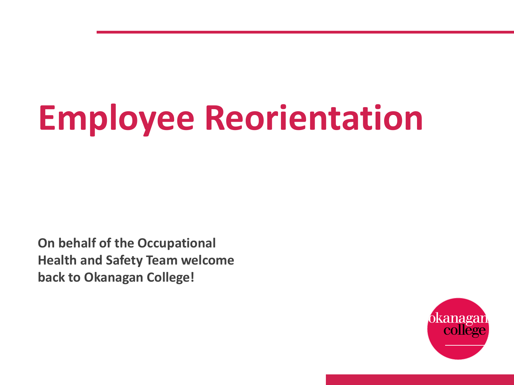# **Employee Reorientation**

**On behalf of the Occupational Health and Safety Team welcome back to Okanagan College!** 

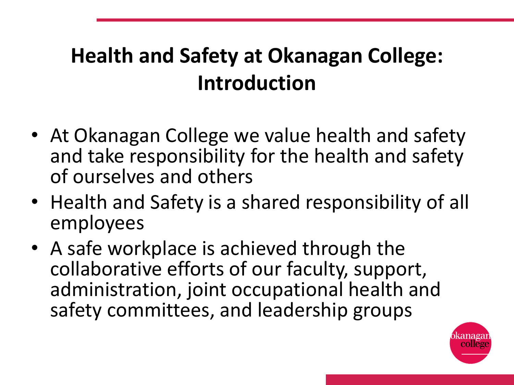# **Health and Safety at Okanagan College: Introduction**

- At Okanagan College we value health and safety and take responsibility for the health and safety of ourselves and others
- Health and Safety is a shared responsibility of all employees
- A safe workplace is achieved through the collaborative efforts of our faculty, support, administration, joint occupational health and safety committees, and leadership groups

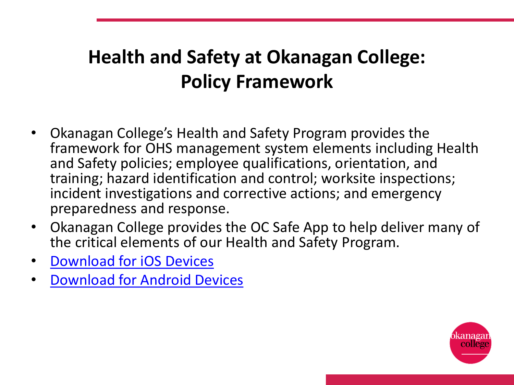#### **Health and Safety at Okanagan College: Policy Framework**

- Okanagan College's Health and Safety Program provides the framework for OHS management system elements including Health and Safety policies; employee qualifications, orientation, and training; hazard identification and control; worksite inspections; incident investigations and corrective actions; and emergency preparedness and response.
- Okanagan College provides the OC Safe App to help deliver many of the critical elements of our Health and Safety Program.
- [Download for iOS Devices](https://apps.apple.com/ca/app/oc-safe/id1358475295)
- [Download for Android Devices](https://play.google.com/store/apps/details?id=com.cutcom.apparmor.okanagan&hl=en)

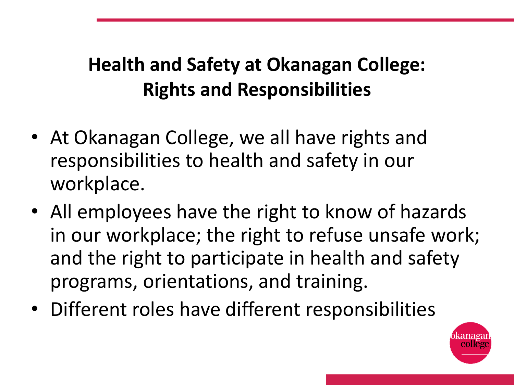#### **Health and Safety at Okanagan College: Rights and Responsibilities**

- At Okanagan College, we all have rights and responsibilities to health and safety in our workplace.
- All employees have the right to know of hazards in our workplace; the right to refuse unsafe work; and the right to participate in health and safety programs, orientations, and training.
- Different roles have different responsibilities

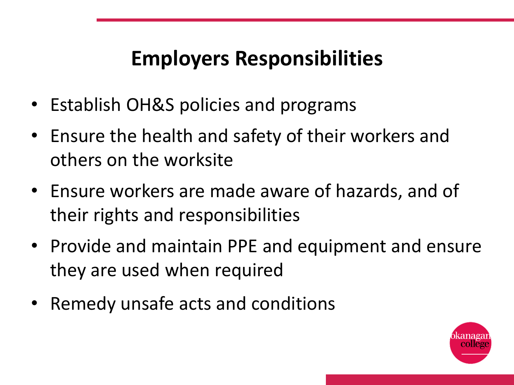## **Employers Responsibilities**

- Establish OH&S policies and programs
- Ensure the health and safety of their workers and others on the worksite
- Ensure workers are made aware of hazards, and of their rights and responsibilities
- Provide and maintain PPE and equipment and ensure they are used when required
- Remedy unsafe acts and conditions

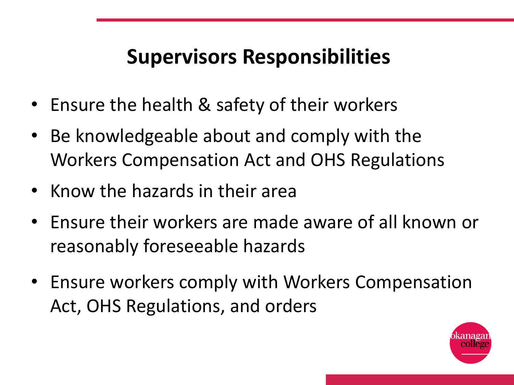## **Supervisors Responsibilities**

- Ensure the health & safety of their workers
- Be knowledgeable about and comply with the Workers Compensation Act and OHS Regulations
- Know the hazards in their area
- Ensure their workers are made aware of all known or reasonably foreseeable hazards
- Ensure workers comply with Workers Compensation Act, OHS Regulations, and orders

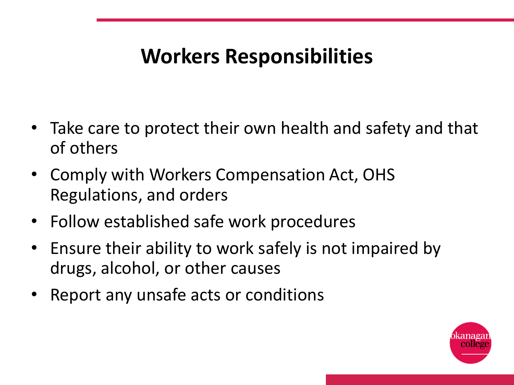### **Workers Responsibilities**

- Take care to protect their own health and safety and that of others
- Comply with Workers Compensation Act, OHS Regulations, and orders
- Follow established safe work procedures
- Ensure their ability to work safely is not impaired by drugs, alcohol, or other causes
- Report any unsafe acts or conditions

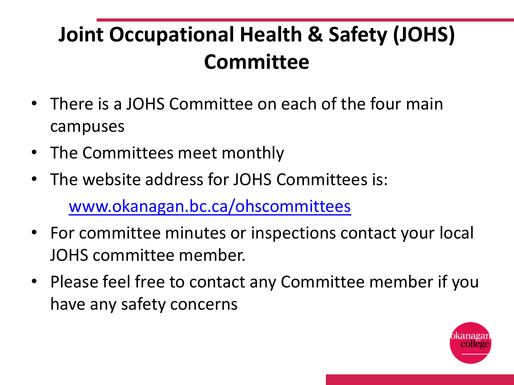# **Joint Occupational Health & Safety (JOHS) Committee**

- There is a JOHS Committee on each of the four main campuses
- The Committees meet monthly
- The website address for JOHS Committees is: [www.okanagan.bc.ca/ohscommittees](http://www.okanagan.bc.ca/ohscommittees)
- For committee minutes or inspections contact your local JOHS committee member.
- Please feel free to contact any Committee member if you have any safety concerns

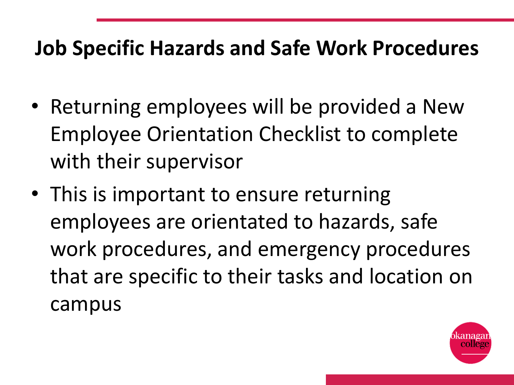#### **Job Specific Hazards and Safe Work Procedures**

- Returning employees will be provided a New Employee Orientation Checklist to complete with their supervisor
- This is important to ensure returning employees are orientated to hazards, safe work procedures, and emergency procedures that are specific to their tasks and location on campus

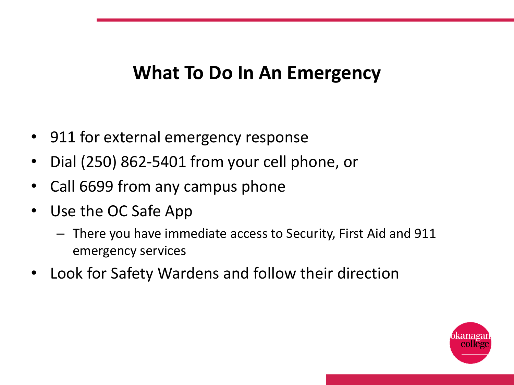#### **What To Do In An Emergency**

- 911 for external emergency response
- Dial (250) 862-5401 from your cell phone, or
- Call 6699 from any campus phone
- Use the OC Safe App
	- There you have immediate access to Security, First Aid and 911 emergency services
- Look for Safety Wardens and follow their direction

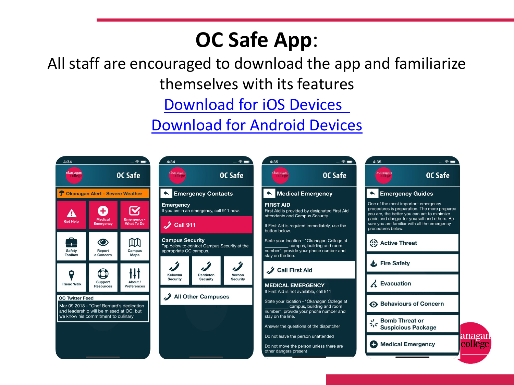## **OC Safe App**:

#### All staff are encouraged to download the app and familiarize themselves with its features

#### [Download for iOS Devices](https://apps.apple.com/ca/app/oc-safe/id1358475295)

#### [Download for Android Devices](https://play.google.com/store/apps/details?id=com.cutcom.apparmor.okanagan&hl=en)

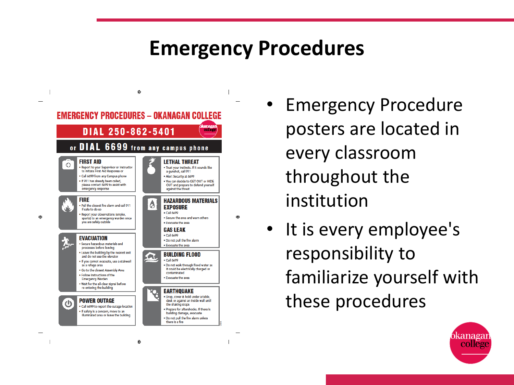#### **Emergency Procedures**



¢.

۰

- Emergency Procedure posters are located in every classroom throughout the institution
- It is every employee's responsibility to familiarize yourself with these procedures



 $\oplus$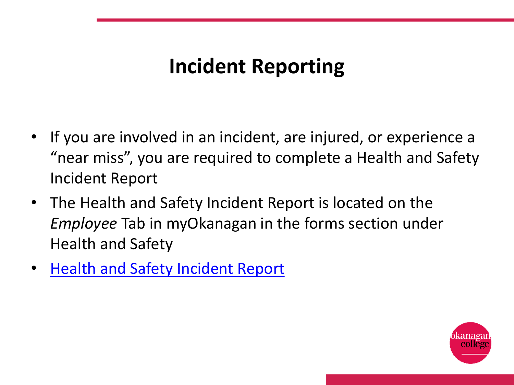## **Incident Reporting**

- If you are involved in an incident, are injured, or experience a "near miss", you are required to complete a Health and Safety Incident Report
- The Health and Safety Incident Report is located on the *Employee* Tab in myOkanagan in the forms section under Health and Safety
- **[Health and Safety Incident Report](https://okanagan.mycusthelp.ca/WEBAPP/_rs/(S(i12m3osnejsegwqmfunnov1l))/RequestOpen.aspx?sSessionID=19231180130QYGJTYMGYLOHKIPZCKRLZXJKKPPUB&rqst=55)**

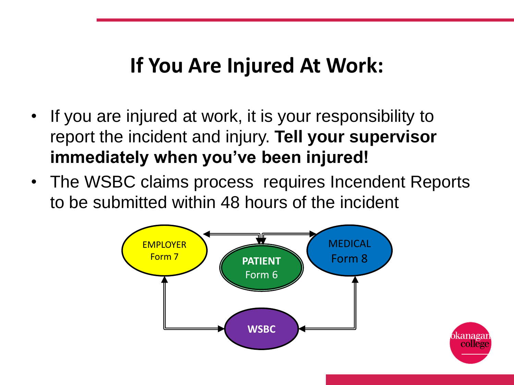#### **If You Are Injured At Work:**

- If you are injured at work, it is your responsibility to report the incident and injury. **Tell your supervisor immediately when you've been injured!**
- The WSBC claims process requires Incendent Reports to be submitted within 48 hours of the incident

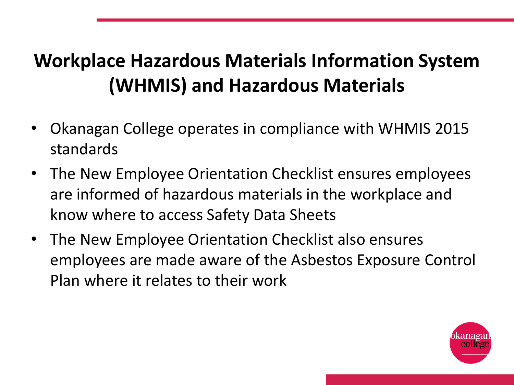#### **Workplace Hazardous Materials Information System (WHMIS) and Hazardous Materials**

- Okanagan College operates in compliance with WHMIS 2015 standards
- The New Employee Orientation Checklist ensures employees are informed of hazardous materials in the workplace and know where to access Safety Data Sheets
- The New Employee Orientation Checklist also ensures employees are made aware of the Asbestos Exposure Control Plan where it relates to their work

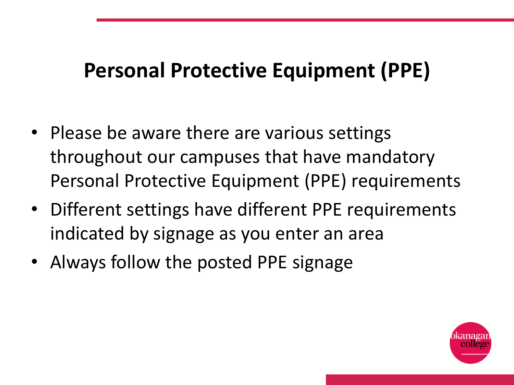#### **Personal Protective Equipment (PPE)**

- Please be aware there are various settings throughout our campuses that have mandatory Personal Protective Equipment (PPE) requirements
- Different settings have different PPE requirements indicated by signage as you enter an area
- Always follow the posted PPE signage

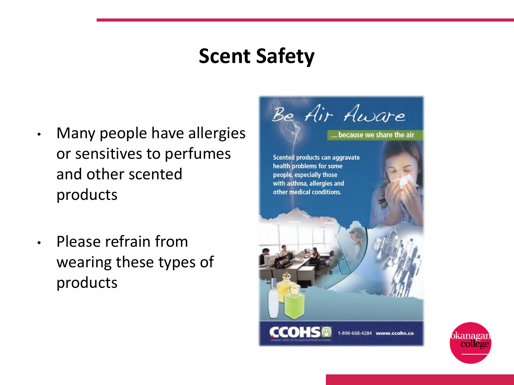#### **Scent Safety**

- Many people have allergies or sensitives to perfumes and other scented products
- Please refrain from wearing these types of products



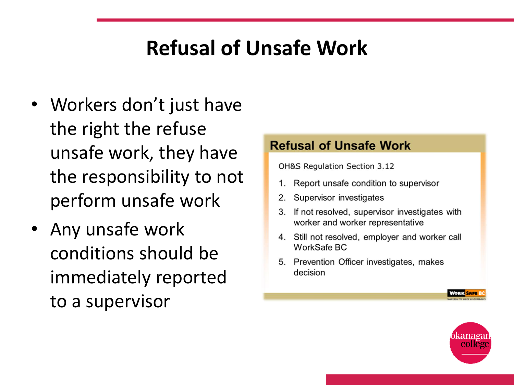## **Refusal of Unsafe Work**

- Workers don't just have the right the refuse unsafe work, they have the responsibility to not perform unsafe work
- Any unsafe work conditions should be immediately reported to a supervisor

#### **Refusal of Unsafe Work**

OH&S Regulation Section 3.12

- Report unsafe condition to supervisor  $1.$
- Supervisor investigates 2.
- If not resolved, supervisor investigates with 3. worker and worker representative
- 4. Still not resolved, employer and worker call WorkSafe BC
- 5. Prevention Officer investigates, makes decision



for Kisari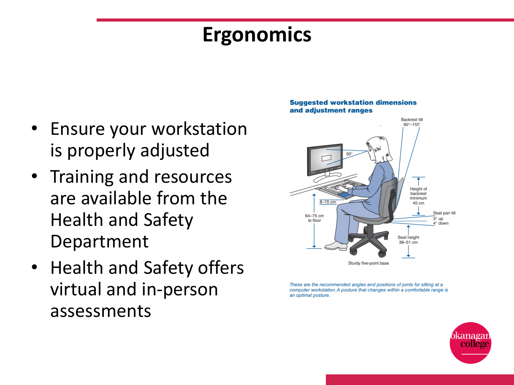#### **Ergonomics**

- Ensure your workstation is properly adjusted
- Training and resources are available from the Health and Safety Department
- Health and Safety offers virtual and in-person assessments



These are the recommended angles and positions of joints for sitting at a computer workstation. A posture that changes within a comfortable range is an optimal posture.



#### **Suggested workstation dimensions** and adjustment ranges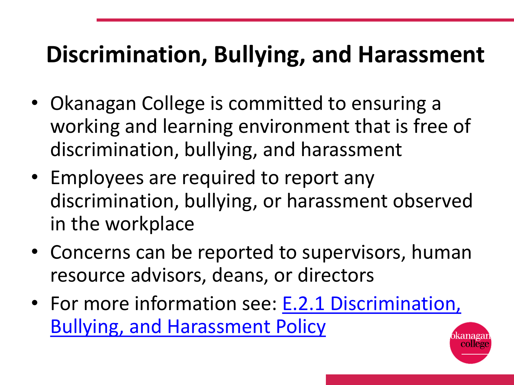# **Discrimination, Bullying, and Harassment**

- Okanagan College is committed to ensuring a working and learning environment that is free of discrimination, bullying, and harassment
- Employees are required to report any discrimination, bullying, or harassment observed in the workplace
- Concerns can be reported to supervisors, human resource advisors, deans, or directors
- [For more information see: E.2.1 Discrimination,](https://www.okanagan.bc.ca/sites/default/files/2020-03/discrimination_bullying_and_harassment.pdf) Bullying, and Harassment Policy

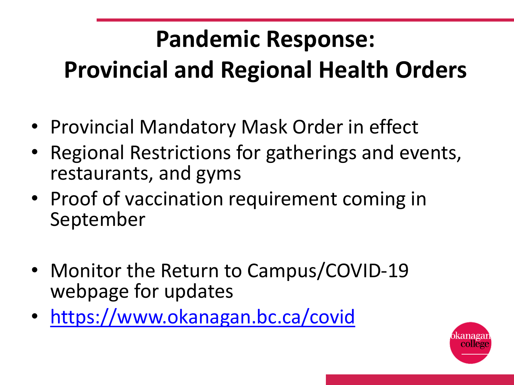# **Pandemic Response: Provincial and Regional Health Orders**

- Provincial Mandatory Mask Order in effect
- Regional Restrictions for gatherings and events, restaurants, and gyms
- Proof of vaccination requirement coming in September
- Monitor the Return to Campus/COVID-19 webpage for updates
- <https://www.okanagan.bc.ca/covid>